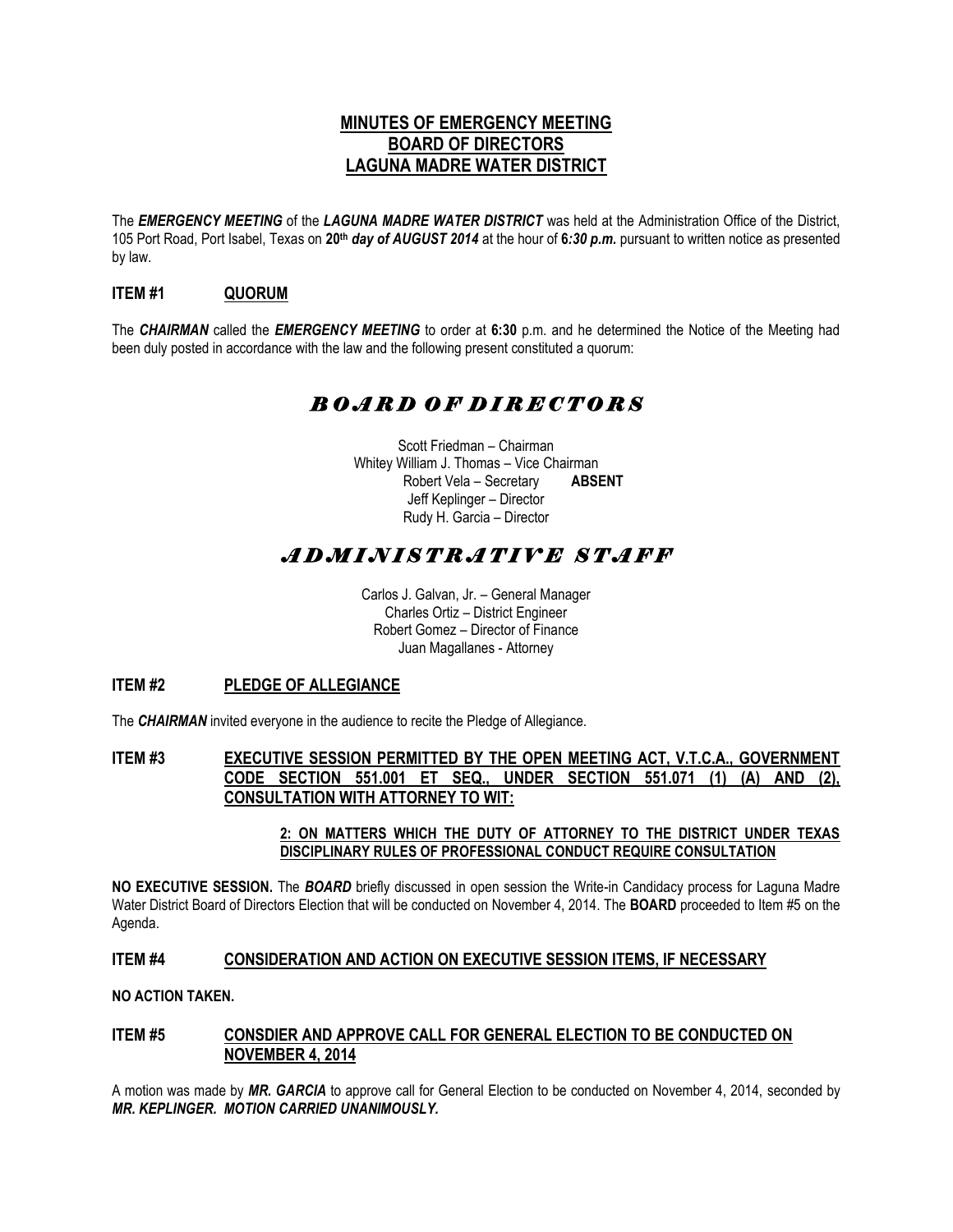# **MINUTES OF EMERGENCY MEETING BOARD OF DIRECTORS LAGUNA MADRE WATER DISTRICT**

The *EMERGENCY MEETING* of the *LAGUNA MADRE WATER DISTRICT* was held at the Administration Office of the District, 105 Port Road, Port Isabel, Texas on **20th** *day of AUGUST 2014* at the hour of **6***:30 p.m.* pursuant to written notice as presented by law.

## **ITEM #1 QUORUM**

The *CHAIRMAN* called the *EMERGENCY MEETING* to order at **6:30** p.m. and he determined the Notice of the Meeting had been duly posted in accordance with the law and the following present constituted a quorum:

# *B O A R D O F D I R E C T O R S*

Scott Friedman – Chairman Whitey William J. Thomas – Vice Chairman Robert Vela – Secretary **ABSENT** Jeff Keplinger – Director Rudy H. Garcia – Director

# *A D M I N I S T R A T I V E S T A F F*

Carlos J. Galvan, Jr. – General Manager Charles Ortiz – District Engineer Robert Gomez – Director of Finance Juan Magallanes - Attorney

### **ITEM #2 PLEDGE OF ALLEGIANCE**

The *CHAIRMAN* invited everyone in the audience to recite the Pledge of Allegiance.

#### **ITEM #3 EXECUTIVE SESSION PERMITTED BY THE OPEN MEETING ACT, V.T.C.A., GOVERNMENT CODE SECTION 551.001 ET SEQ., UNDER SECTION 551.071 (1) (A) AND (2), CONSULTATION WITH ATTORNEY TO WIT:**

**2: ON MATTERS WHICH THE DUTY OF ATTORNEY TO THE DISTRICT UNDER TEXAS DISCIPLINARY RULES OF PROFESSIONAL CONDUCT REQUIRE CONSULTATION** 

**NO EXECUTIVE SESSION.** The *BOARD* briefly discussed in open session the Write-in Candidacy process for Laguna Madre Water District Board of Directors Election that will be conducted on November 4, 2014. The **BOARD** proceeded to Item #5 on the Agenda.

## **ITEM #4 CONSIDERATION AND ACTION ON EXECUTIVE SESSION ITEMS, IF NECESSARY**

**NO ACTION TAKEN.** 

#### **ITEM #5 CONSDIER AND APPROVE CALL FOR GENERAL ELECTION TO BE CONDUCTED ON NOVEMBER 4, 2014**

A motion was made by *MR. GARCIA* to approve call for General Election to be conducted on November 4, 2014, seconded by *MR. KEPLINGER. MOTION CARRIED UNANIMOUSLY.*